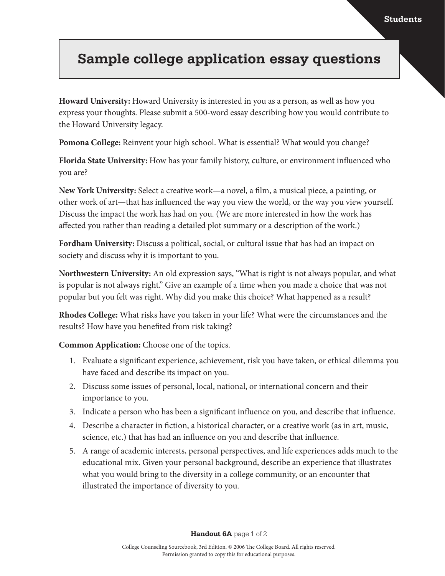## ر<br>منابه به داد<br>ا P<sub>rivad</sub> **Sample college application essay questions**

**Howard University:** Howard University is interested in you as a person, as well as how you express your thoughts. Please submit a 500-word essay describing how you would contribute to the Howard University legacy.

**Pomona College:** Reinvent your high school. What is essential? What would you change?

**Florida State University:** How has your family history, culture, or environment influenced who you are?

**New York University:** Select a creative work—a novel, a film, a musical piece, a painting, or other work of art—that has influenced the way you view the world, or the way you view yourself. Discuss the impact the work has had on you. (We are more interested in how the work has affected you rather than reading a detailed plot summary or a description of the work.)

**Fordham University:** Discuss a political, social, or cultural issue that has had an impact on society and discuss why it is important to you.

**Northwestern University:** An old expression says, "What is right is not always popular, and what is popular is not always right." Give an example of a time when you made a choice that was not popular but you felt was right. Why did you make this choice? What happened as a result?

**Rhodes College:** What risks have you taken in your life? What were the circumstances and the results? How have you benefited from risk taking?

**Common Application:** Choose one of the topics.

- 1. Evaluate a significant experience, achievement, risk you have taken, or ethical dilemma you have faced and describe its impact on you.
- 2. Discuss some issues of personal, local, national, or international concern and their importance to you.
- 3. Indicate a person who has been a significant influence on you, and describe that influence.
- 4. Describe a character in fiction, a historical character, or a creative work (as in art, music, science, etc.) that has had an influence on you and describe that influence.
- 5. A range of academic interests, personal perspectives, and life experiences adds much to the educational mix. Given your personal background, describe an experience that illustrates what you would bring to the diversity in a college community, or an encounter that illustrated the importance of diversity to you.

**Handout 6A** page 1 of 2